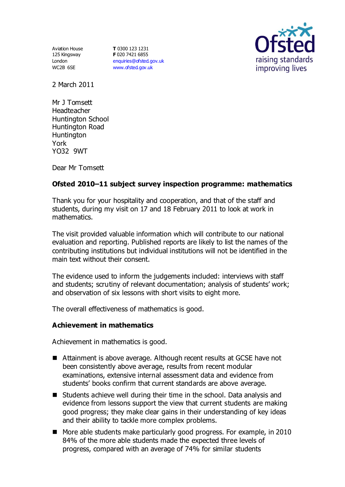Aviation House 125 Kingsway London WC2B 6SE

**T** 0300 123 1231 **F** 020 7421 6855 [enquiries@ofsted.gov.uk](mailto:enquiries@ofsted.gov.uk) [www.ofsted.gov.uk](http://www.ofsted.gov.uk/)



2 March 2011

Mr J Tomsett Headteacher Huntington School Huntington Road **Huntington** York YO32 9WT

Dear Mr Tomsett

# **Ofsted 2010–11 subject survey inspection programme: mathematics**

Thank you for your hospitality and cooperation, and that of the staff and students, during my visit on 17 and 18 February 2011 to look at work in mathematics.

The visit provided valuable information which will contribute to our national evaluation and reporting. Published reports are likely to list the names of the contributing institutions but individual institutions will not be identified in the main text without their consent.

The evidence used to inform the judgements included: interviews with staff and students; scrutiny of relevant documentation; analysis of students' work; and observation of six lessons with short visits to eight more.

The overall effectiveness of mathematics is good.

## **Achievement in mathematics**

Achievement in mathematics is good.

- Attainment is above average. Although recent results at GCSE have not been consistently above average, results from recent modular examinations, extensive internal assessment data and evidence from students' books confirm that current standards are above average.
- Students achieve well during their time in the school. Data analysis and evidence from lessons support the view that current students are making good progress; they make clear gains in their understanding of key ideas and their ability to tackle more complex problems.
- More able students make particularly good progress. For example, in 2010 84% of the more able students made the expected three levels of progress, compared with an average of 74% for similar students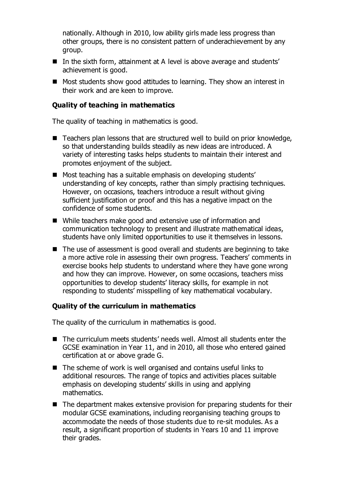nationally. Although in 2010, low ability girls made less progress than other groups, there is no consistent pattern of underachievement by any group.

- In the sixth form, attainment at A level is above average and students' achievement is good.
- Most students show good attitudes to learning. They show an interest in their work and are keen to improve.

### **Quality of teaching in mathematics**

The quality of teaching in mathematics is good.

- Teachers plan lessons that are structured well to build on prior knowledge, so that understanding builds steadily as new ideas are introduced. A variety of interesting tasks helps students to maintain their interest and promotes enjoyment of the subject.
- Most teaching has a suitable emphasis on developing students' understanding of key concepts, rather than simply practising techniques. However, on occasions, teachers introduce a result without giving sufficient justification or proof and this has a negative impact on the confidence of some students.
- While teachers make good and extensive use of information and communication technology to present and illustrate mathematical ideas, students have only limited opportunities to use it themselves in lessons.
- $\blacksquare$  The use of assessment is good overall and students are beginning to take a more active role in assessing their own progress. Teachers' comments in exercise books help students to understand where they have gone wrong and how they can improve. However, on some occasions, teachers miss opportunities to develop students' literacy skills, for example in not responding to students' misspelling of key mathematical vocabulary.

#### **Quality of the curriculum in mathematics**

The quality of the curriculum in mathematics is good.

- The curriculum meets students' needs well. Almost all students enter the GCSE examination in Year 11, and in 2010, all those who entered gained certification at or above grade G.
- The scheme of work is well organised and contains useful links to additional resources. The range of topics and activities places suitable emphasis on developing students' skills in using and applying mathematics.
- $\blacksquare$  The department makes extensive provision for preparing students for their modular GCSE examinations, including reorganising teaching groups to accommodate the needs of those students due to re-sit modules. As a result, a significant proportion of students in Years 10 and 11 improve their grades.